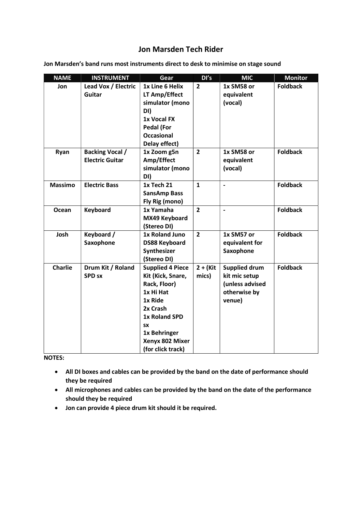## Jon Marsden Tech Rider

| <b>NAME</b>    | <b>INSTRUMENT</b>                  | Gear                                                                                                                                                                                   | DI's                 | <b>MIC</b>                                                                         | <b>Monitor</b>  |
|----------------|------------------------------------|----------------------------------------------------------------------------------------------------------------------------------------------------------------------------------------|----------------------|------------------------------------------------------------------------------------|-----------------|
| Jon            | Lead Vox / Electric                | 1x Line 6 Helix                                                                                                                                                                        | $\overline{2}$       | 1x SM58 or                                                                         | <b>Foldback</b> |
|                | Guitar                             | LT Amp/Effect                                                                                                                                                                          |                      | equivalent                                                                         |                 |
|                |                                    | simulator (mono                                                                                                                                                                        |                      | (vocal)                                                                            |                 |
|                |                                    | DI)                                                                                                                                                                                    |                      |                                                                                    |                 |
|                |                                    | 1x Vocal FX                                                                                                                                                                            |                      |                                                                                    |                 |
|                |                                    | <b>Pedal (For</b>                                                                                                                                                                      |                      |                                                                                    |                 |
|                |                                    | <b>Occasional</b>                                                                                                                                                                      |                      |                                                                                    |                 |
|                |                                    | Delay effect)                                                                                                                                                                          |                      |                                                                                    |                 |
| Ryan           | <b>Backing Vocal /</b>             | 1x Zoom g5n                                                                                                                                                                            | $\overline{2}$       | 1x SM58 or                                                                         | <b>Foldback</b> |
|                | <b>Electric Guitar</b>             | Amp/Effect                                                                                                                                                                             |                      | equivalent                                                                         |                 |
|                |                                    | simulator (mono                                                                                                                                                                        |                      | (vocal)                                                                            |                 |
|                |                                    | DI)                                                                                                                                                                                    |                      |                                                                                    |                 |
| <b>Massimo</b> | <b>Electric Bass</b>               | 1x Tech 21                                                                                                                                                                             | $\mathbf{1}$         | $\overline{\phantom{0}}$                                                           | <b>Foldback</b> |
|                |                                    | <b>SansAmp Bass</b>                                                                                                                                                                    |                      |                                                                                    |                 |
|                |                                    | Fly Rig (mono)                                                                                                                                                                         |                      |                                                                                    |                 |
| Ocean          | Keyboard                           | 1x Yamaha                                                                                                                                                                              | $\overline{2}$       | $\overline{\phantom{0}}$                                                           | <b>Foldback</b> |
|                |                                    | MX49 Keyboard                                                                                                                                                                          |                      |                                                                                    |                 |
|                |                                    | (Stereo DI)                                                                                                                                                                            |                      |                                                                                    |                 |
| Josh           | Keyboard /                         | 1x Roland Juno                                                                                                                                                                         | $\overline{2}$       | 1x SM57 or                                                                         | <b>Foldback</b> |
|                | Saxophone                          | <b>DS88 Keyboard</b>                                                                                                                                                                   |                      | equivalent for                                                                     |                 |
|                |                                    | Synthesizer                                                                                                                                                                            |                      | Saxophone                                                                          |                 |
|                |                                    | (Stereo DI)                                                                                                                                                                            |                      |                                                                                    |                 |
|                |                                    |                                                                                                                                                                                        |                      |                                                                                    |                 |
|                |                                    |                                                                                                                                                                                        |                      |                                                                                    |                 |
|                |                                    |                                                                                                                                                                                        |                      |                                                                                    |                 |
|                |                                    |                                                                                                                                                                                        |                      |                                                                                    |                 |
|                |                                    |                                                                                                                                                                                        |                      |                                                                                    |                 |
|                |                                    |                                                                                                                                                                                        |                      |                                                                                    |                 |
|                |                                    |                                                                                                                                                                                        |                      |                                                                                    |                 |
|                |                                    |                                                                                                                                                                                        |                      |                                                                                    |                 |
|                |                                    |                                                                                                                                                                                        |                      |                                                                                    |                 |
|                |                                    |                                                                                                                                                                                        |                      |                                                                                    |                 |
| <b>Charlie</b> | Drum Kit / Roland<br><b>SPD SX</b> | <b>Supplied 4 Piece</b><br>Kit (Kick, Snare,<br>Rack, Floor)<br>1x Hi Hat<br>1x Ride<br>2x Crash<br>1x Roland SPD<br><b>SX</b><br>1x Behringer<br>Xenyx 802 Mixer<br>(for click track) | $2 + (Kit)$<br>mics) | <b>Supplied drum</b><br>kit mic setup<br>(unless advised<br>otherwise by<br>venue) | <b>Foldback</b> |

Jon Marsden's band runs most instruments direct to desk to minimise on stage sound

NOTES:

- All DI boxes and cables can be provided by the band on the date of performance should they be required
- All microphones and cables can be provided by the band on the date of the performance should they be required
- Jon can provide 4 piece drum kit should it be required.